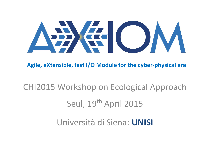

**Agile, eXtensible, fast I/O Module for the cyber-physical era**

## CHI2015 Workshop on Ecological Approach Seul, 19<sup>th</sup> April 2015

Università di Siena: **UNISI**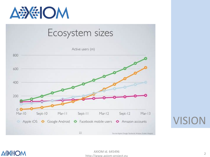



VISION

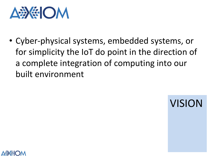

△毋 《

• Cyber-physical systems, embedded systems, or for simplicity the IoT do point in the direction of a complete integration of computing into our built environment

VISION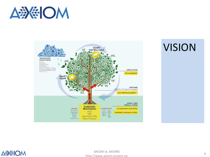



## VISION



AXIOM id. 645496 http://www.axiom-project.eu <sup>4</sup>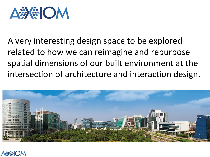

A very interesting design space to be explored related to how we can reimagine and repurpose spatial dimensions of our built environment at the intersection of architecture and interaction design.



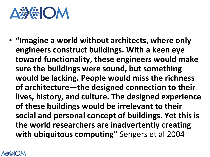## AD SE OM

• **"Imagine a world without architects, where only engineers construct buildings. With a keen eye toward functionality, these engineers would make sure the buildings were sound, but something would be lacking. People would miss the richness of architecture—the designed connection to their lives, history, and culture. The designed experience of these buildings would be irrelevant to their social and personal concept of buildings. Yet this is the world researchers are inadvertently creating with ubiquitous computing"** Sengers et al 2004

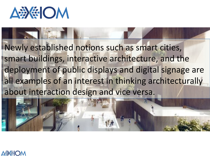

Newly established notions such as smart cities, smart buildings, interactive architecture, and the deployment of public displays and digital signage are all examples of an interest in thinking architecturally about interaction design and vice versa.



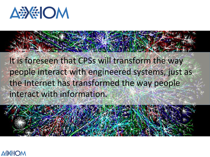

It is foreseen that CPSs will transform the way people interact with engineered systems, just as the Internet has transformed the way people interact with information.

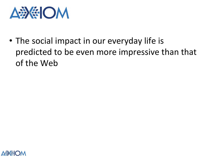

• The social impact in our everyday life is predicted to be even more impressive than that of the Web

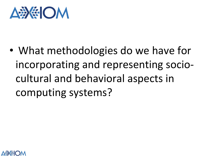

• What methodologies do we have for incorporating and representing sociocultural and behavioral aspects in computing systems?

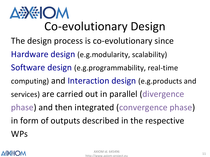**DE CM** Co-evolutionary Design The design process is co-evolutionary since Hardware design (e.g.modularity, scalability) Software design (e.g.programmability, real-time computing) and Interaction design (e.g.products and services) are carried out in parallel (divergence phase) and then integrated (convergence phase) in form of outputs described in the respective WPs

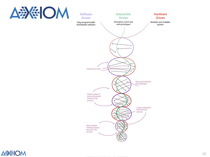